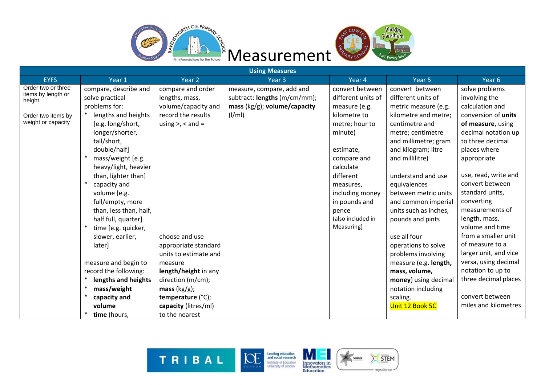



| <b>Using Measures</b>        |                             |                             |                                 |                    |                       |                       |  |  |
|------------------------------|-----------------------------|-----------------------------|---------------------------------|--------------------|-----------------------|-----------------------|--|--|
| <b>EYFS</b>                  | Year 1                      | Year 2                      | Year <sub>3</sub>               | Year 4             | Year 5                | Year <sub>6</sub>     |  |  |
| Order two or three           | compare, describe and       | compare and order           | measure, compare, add and       | convert between    | convert between       | solve problems        |  |  |
| items by length or<br>height | solve practical             | lengths, mass,              | subtract: lengths (m/cm/mm);    | different units of | different units of    | involving the         |  |  |
|                              | problems for:               | volume/capacity and         | mass $(kg/g)$ ; volume/capacity | measure (e.g.      | metric measure (e.g.  | calculation and       |  |  |
| Order two items by           | lengths and heights         | record the results          | (1/ml)                          | kilometre to       | kilometre and metre;  | conversion of units   |  |  |
| weight or capacity           | [e.g. long/short,           | using $>$ , $<$ and $=$     |                                 | metre; hour to     | centimetre and        | of measure, using     |  |  |
|                              | longer/shorter,             |                             |                                 | minute)            | metre; centimetre     | decimal notation up   |  |  |
|                              | tall/short,                 |                             |                                 |                    | and millimetre; gram  | to three decimal      |  |  |
|                              | double/half]                |                             |                                 | estimate,          | and kilogram; litre   | places where          |  |  |
|                              | $\ast$<br>mass/weight [e.g. |                             |                                 | compare and        | and millilitre)       | appropriate           |  |  |
|                              | heavy/light, heavier        |                             |                                 | calculate          |                       |                       |  |  |
|                              | than, lighter than]         |                             |                                 | different          | understand and use    | use, read, write and  |  |  |
|                              | $\ast$<br>capacity and      |                             |                                 | measures,          | equivalences          | convert between       |  |  |
|                              | volume [e.g.                |                             |                                 | including money    | between metric units  | standard units,       |  |  |
|                              | full/empty, more            |                             |                                 | in pounds and      | and common imperial   | converting            |  |  |
|                              | than, less than, half,      |                             |                                 | pence              | units such as inches, | measurements of       |  |  |
|                              | half full, quarter]         |                             |                                 | (also included in  | pounds and pints      | length, mass,         |  |  |
|                              | time [e.g. quicker,         |                             |                                 | Measuring)         |                       | volume and time       |  |  |
|                              | slower, earlier,            | choose and use              |                                 |                    | use all four          | from a smaller unit   |  |  |
|                              | later]                      | appropriate standard        |                                 |                    | operations to solve   | of measure to a       |  |  |
|                              |                             | units to estimate and       |                                 |                    | problems involving    | larger unit, and vice |  |  |
|                              | measure and begin to        | measure                     |                                 |                    | measure (e.g. length, | versa, using decimal  |  |  |
|                              | record the following:       | length/height in any        |                                 |                    | mass, volume,         | notation to up to     |  |  |
|                              | lengths and heights         | direction (m/cm);           |                                 |                    | money) using decimal  | three decimal places  |  |  |
|                              | mass/weight                 | mass $(kg/g)$ ;             |                                 |                    | notation including    |                       |  |  |
|                              | $\ast$<br>capacity and      | temperature $(^{\circ}C)$ ; |                                 |                    | scaling.              | convert between       |  |  |
|                              | volume                      | capacity (litres/ml)        |                                 |                    | Unit 12 Book 5C       | miles and kilometres  |  |  |
|                              | $\ast$<br>time (hours,      | to the nearest              |                                 |                    |                       |                       |  |  |







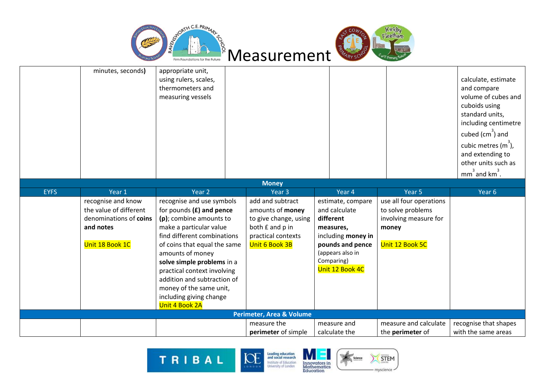



|             | minutes, seconds)                                                                                      | appropriate unit,<br>using rulers, scales,<br>thermometers and<br>measuring vessels                                                                                                                                                                                                                                                                                  | <b>Money</b>                                                                                                             |                                                                                                                                                             |                                                                                                   | calculate, estimate<br>and compare<br>volume of cubes and<br>cuboids using<br>standard units,<br>including centimetre<br>cubed $(cm3)$ and<br>cubic metres (m <sup>3</sup> ),<br>and extending to<br>other units such as<br>$mm3$ and km <sup>3</sup> . |
|-------------|--------------------------------------------------------------------------------------------------------|----------------------------------------------------------------------------------------------------------------------------------------------------------------------------------------------------------------------------------------------------------------------------------------------------------------------------------------------------------------------|--------------------------------------------------------------------------------------------------------------------------|-------------------------------------------------------------------------------------------------------------------------------------------------------------|---------------------------------------------------------------------------------------------------|---------------------------------------------------------------------------------------------------------------------------------------------------------------------------------------------------------------------------------------------------------|
| <b>EYFS</b> | Year 1                                                                                                 | Year <sub>2</sub>                                                                                                                                                                                                                                                                                                                                                    | Year <sub>3</sub>                                                                                                        | Year 4                                                                                                                                                      | Year 5                                                                                            | Year 6                                                                                                                                                                                                                                                  |
|             | recognise and know<br>the value of different<br>denominations of coins<br>and notes<br>Unit 18 Book 1C | recognise and use symbols<br>for pounds $(E)$ and pence<br>(p); combine amounts to<br>make a particular value<br>find different combinations<br>of coins that equal the same<br>amounts of money<br>solve simple problems in a<br>practical context involving<br>addition and subtraction of<br>money of the same unit,<br>including giving change<br>Unit 4 Book 2A | add and subtract<br>amounts of money<br>to give change, using<br>both £ and p in<br>practical contexts<br>Unit 6 Book 3B | estimate, compare<br>and calculate<br>different<br>measures,<br>including money in<br>pounds and pence<br>(appears also in<br>Comparing)<br>Unit 12 Book 4C | use all four operations<br>to solve problems<br>involving measure for<br>money<br>Unit 12 Book 5C |                                                                                                                                                                                                                                                         |
|             |                                                                                                        |                                                                                                                                                                                                                                                                                                                                                                      | Perimeter, Area & Volume                                                                                                 |                                                                                                                                                             |                                                                                                   |                                                                                                                                                                                                                                                         |
|             |                                                                                                        |                                                                                                                                                                                                                                                                                                                                                                      | measure the<br>perimeter of simple                                                                                       | measure and<br>calculate the                                                                                                                                | measure and calculate<br>the perimeter of                                                         | recognise that shapes<br>with the same areas                                                                                                                                                                                                            |





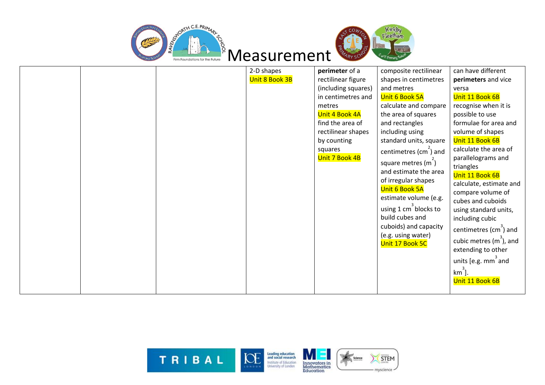



STEM

 $-$  myscience  $\rightarrow$ 

|  | 2-D shapes     | perimeter of a      | composite rectilinear             | can have different                 |
|--|----------------|---------------------|-----------------------------------|------------------------------------|
|  | Unit 8 Book 3B | rectilinear figure  | shapes in centimetres             | perimeters and vice                |
|  |                | (including squares) | and metres                        | versa                              |
|  |                | in centimetres and  | Unit 6 Book 5A                    | Unit 11 Book 6B                    |
|  |                | metres              | calculate and compare             | recognise when it is               |
|  |                | Unit 4 Book 4A      | the area of squares               | possible to use                    |
|  |                | find the area of    | and rectangles                    | formulae for area and              |
|  |                | rectilinear shapes  | including using                   | volume of shapes                   |
|  |                | by counting         | standard units, square            | Unit 11 Book 6B                    |
|  |                | squares             | centimetres $(cm2)$ and           | calculate the area of              |
|  |                | Unit 7 Book 4B      | square metres (m <sup>2</sup> )   | parallelograms and                 |
|  |                |                     | and estimate the area             | triangles                          |
|  |                |                     |                                   | Unit 11 Book 6B                    |
|  |                |                     | of irregular shapes               | calculate, estimate and            |
|  |                |                     | Unit 6 Book 5A                    | compare volume of                  |
|  |                |                     | estimate volume (e.g.             | cubes and cuboids                  |
|  |                |                     | using 1 cm <sup>3</sup> blocks to | using standard units,              |
|  |                |                     | build cubes and                   | including cubic                    |
|  |                |                     | cuboids) and capacity             | centimetres (cm <sup>3</sup> ) and |
|  |                |                     | (e.g. using water)                |                                    |
|  |                |                     | Unit 17 Book 5C                   | cubic metres $(m3)$ , and          |
|  |                |                     |                                   | extending to other                 |
|  |                |                     |                                   | units [e.g. $mm3$ and              |
|  |                |                     |                                   | $km^3$ ]                           |
|  |                |                     |                                   | Unit 11 Book 6B                    |
|  |                |                     |                                   |                                    |

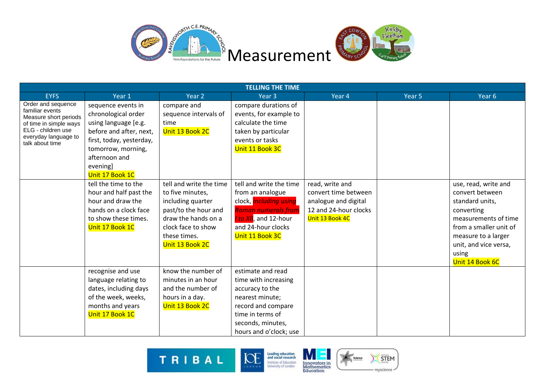

| <b>TELLING THE TIME</b>                  |                          |                         |                            |                       |        |                        |  |  |
|------------------------------------------|--------------------------|-------------------------|----------------------------|-----------------------|--------|------------------------|--|--|
| <b>EYFS</b>                              | Year 1                   | Year <sub>2</sub>       | Year <sub>3</sub>          | Year 4                | Year 5 | Year <sub>6</sub>      |  |  |
| Order and sequence                       | sequence events in       | compare and             | compare durations of       |                       |        |                        |  |  |
| familiar events<br>Measure short periods | chronological order      | sequence intervals of   | events, for example to     |                       |        |                        |  |  |
| of time in simple ways                   | using language [e.g.     | time                    | calculate the time         |                       |        |                        |  |  |
| ELG - children use                       | before and after, next,  | Unit 13 Book 2C         | taken by particular        |                       |        |                        |  |  |
| everyday language to<br>talk about time  | first, today, yesterday, |                         | events or tasks            |                       |        |                        |  |  |
|                                          | tomorrow, morning,       |                         | Unit 11 Book 3C            |                       |        |                        |  |  |
|                                          | afternoon and            |                         |                            |                       |        |                        |  |  |
|                                          | evening]                 |                         |                            |                       |        |                        |  |  |
|                                          | Unit 17 Book 1C          |                         |                            |                       |        |                        |  |  |
|                                          | tell the time to the     | tell and write the time | tell and write the time    | read, write and       |        | use, read, write and   |  |  |
|                                          | hour and half past the   | to five minutes,        | from an analogue           | convert time between  |        | convert between        |  |  |
|                                          | hour and draw the        | including quarter       | clock, including using     | analogue and digital  |        | standard units,        |  |  |
|                                          | hands on a clock face    | past/to the hour and    | <b>Roman numerals from</b> | 12 and 24-hour clocks |        | converting             |  |  |
|                                          | to show these times.     | draw the hands on a     | I to XII, and 12-hour      | Unit 13 Book 4C       |        | measurements of time   |  |  |
|                                          | Unit 17 Book 1C          | clock face to show      | and 24-hour clocks         |                       |        | from a smaller unit of |  |  |
|                                          |                          | these times.            | Unit 11 Book 3C            |                       |        | measure to a larger    |  |  |
|                                          |                          | Unit 13 Book 2C         |                            |                       |        | unit, and vice versa,  |  |  |
|                                          |                          |                         |                            |                       |        | using                  |  |  |
|                                          |                          |                         |                            |                       |        | Unit 14 Book 6C        |  |  |
|                                          | recognise and use        | know the number of      | estimate and read          |                       |        |                        |  |  |
|                                          | language relating to     | minutes in an hour      | time with increasing       |                       |        |                        |  |  |
|                                          | dates, including days    | and the number of       | accuracy to the            |                       |        |                        |  |  |
|                                          | of the week, weeks,      | hours in a day.         | nearest minute;            |                       |        |                        |  |  |
|                                          | months and years         | Unit 13 Book 2C         | record and compare         |                       |        |                        |  |  |
|                                          | Unit 17 Book 1C          |                         | time in terms of           |                       |        |                        |  |  |
|                                          |                          |                         | seconds, minutes,          |                       |        |                        |  |  |
|                                          |                          |                         | hours and o'clock; use     |                       |        |                        |  |  |





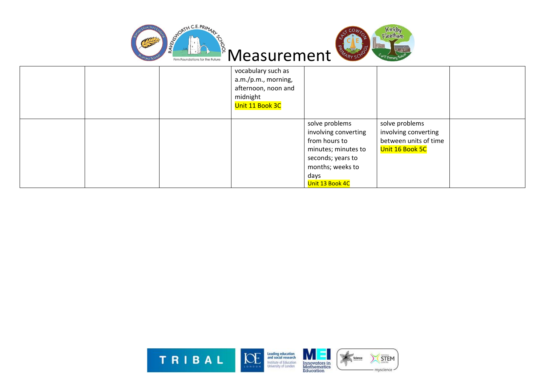



|  | vocabulary such as<br>a.m./p.m., morning,<br>afternoon, noon and<br>midnight<br>Unit 11 Book 3C |                                                                                                                                                    |                                                                                    |  |
|--|-------------------------------------------------------------------------------------------------|----------------------------------------------------------------------------------------------------------------------------------------------------|------------------------------------------------------------------------------------|--|
|  |                                                                                                 | solve problems<br>involving converting<br>from hours to<br>minutes; minutes to<br>seconds; years to<br>months; weeks to<br>days<br>Unit 13 Book 4C | solve problems<br>involving converting<br>between units of time<br>Unit 16 Book 5C |  |